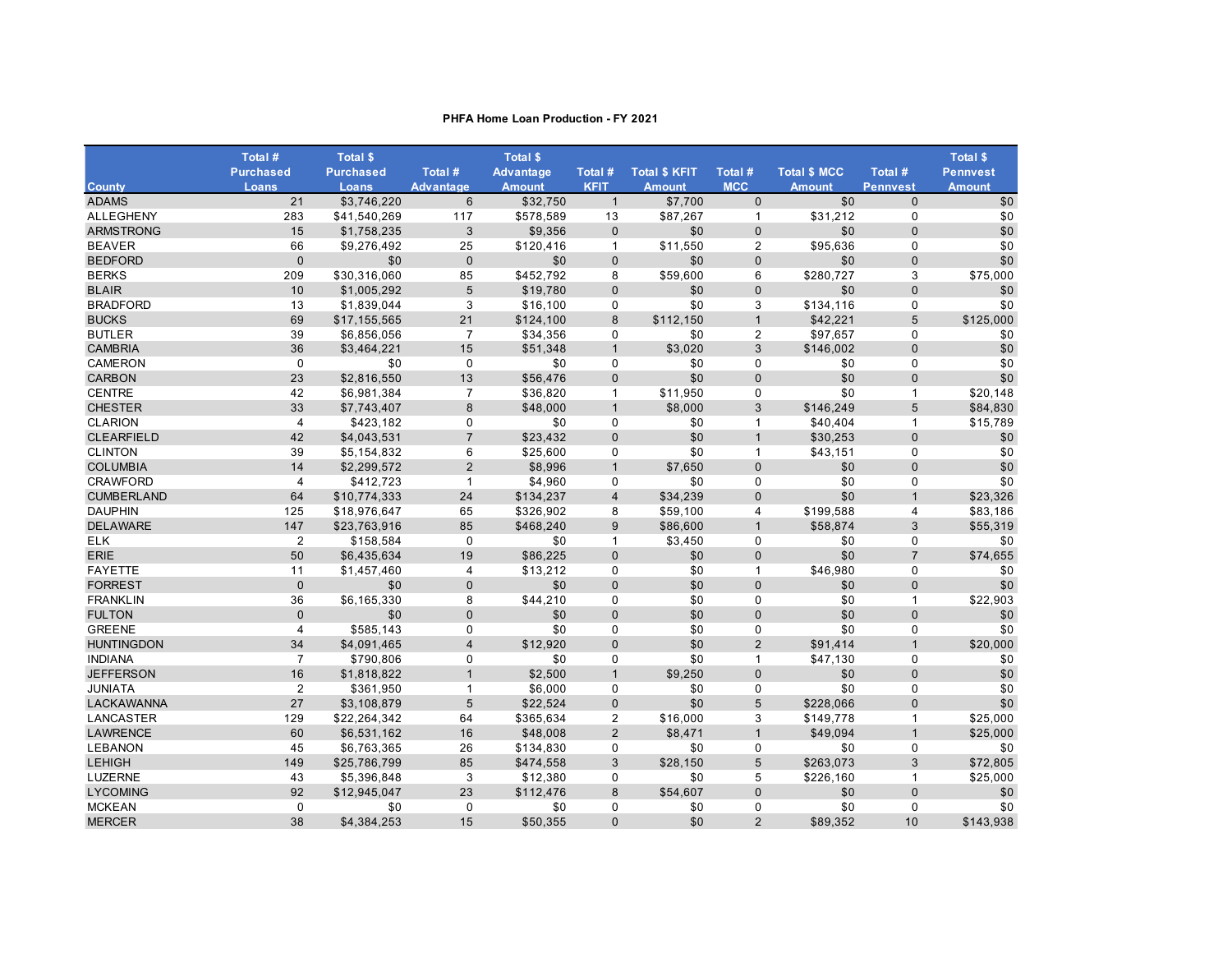|                   | Total #                 | <b>Total \$</b>  |                  | <b>Total \$</b>  |                |                      |                |                     |                 | <b>Total \$</b> |
|-------------------|-------------------------|------------------|------------------|------------------|----------------|----------------------|----------------|---------------------|-----------------|-----------------|
|                   | <b>Purchased</b>        | <b>Purchased</b> | Total #          | <b>Advantage</b> | Total #        | <b>Total \$ KFIT</b> | Total #        | <b>Total \$ MCC</b> | Total #         | <b>Pennvest</b> |
| <b>County</b>     | Loans                   | Loans            | <b>Advantage</b> | <b>Amount</b>    | <b>KFIT</b>    | <b>Amount</b>        | <b>MCC</b>     | <b>Amount</b>       | <b>Pennvest</b> | <b>Amount</b>   |
| <b>ADAMS</b>      | 21                      | \$3.746.220      | 6                | \$32.750         | $\mathbf{1}$   | \$7,700              | $\mathbf{0}$   | \$0                 | $\mathbf{0}$    | \$0             |
| <b>ALLEGHENY</b>  | 283                     | \$41,540,269     | 117              | \$578,589        | 13             | \$87,267             | $\mathbf{1}$   | \$31,212            | $\mathbf 0$     | \$0             |
| <b>ARMSTRONG</b>  | 15                      | \$1,758,235      | 3                | \$9,356          | $\mathbf 0$    | \$0                  | $\mathbf 0$    | \$0                 | $\mathbf 0$     | \$0             |
| <b>BEAVER</b>     | 66                      | \$9,276,492      | 25               | \$120,416        | $\mathbf{1}$   | \$11,550             | $\overline{2}$ | \$95,636            | $\mathbf 0$     | \$0             |
| <b>BEDFORD</b>    | $\mathbf{0}$            | \$0              | $\mathbf{0}$     | \$0              | $\mathbf 0$    | \$0                  | $\mathbf{0}$   | \$0                 | $\mathbf{0}$    | \$0             |
| <b>BERKS</b>      | 209                     | \$30,316,060     | 85               | \$452,792        | 8              | \$59,600             | 6              | \$280,727           | 3               | \$75,000        |
| <b>BLAIR</b>      | 10                      | \$1,005,292      | 5                | \$19,780         | $\mathbf 0$    | \$0                  | $\mathbf{0}$   | \$0                 | $\mathbf{0}$    | \$0             |
| <b>BRADFORD</b>   | 13                      | \$1,839,044      | 3                | \$16,100         | 0              | \$0                  | 3              | \$134,116           | 0               | \$0             |
| <b>BUCKS</b>      | 69                      | \$17,155,565     | 21               | \$124,100        | 8              | \$112,150            | $\overline{1}$ | \$42,221            | 5               | \$125,000       |
| <b>BUTLER</b>     | 39                      | \$6,856,056      | $\overline{7}$   | \$34,356         | 0              | \$0                  | $\overline{2}$ | \$97,657            | 0               | \$0             |
| <b>CAMBRIA</b>    | 36                      | \$3,464,221      | 15               | \$51,348         | $\mathbf{1}$   | \$3,020              | 3              | \$146,002           | $\mathbf{0}$    | \$0             |
| <b>CAMERON</b>    | $\mathbf 0$             | \$0              | 0                | \$0              | $\mathbf 0$    | \$0                  | 0              | \$0                 | $\mathbf 0$     | \$0             |
| <b>CARBON</b>     | 23                      | \$2,816,550      | 13               | \$56,476         | $\mathbf 0$    | \$0                  | $\mathbf 0$    | \$0                 | $\mathbf{0}$    | \$0             |
| <b>CENTRE</b>     | 42                      | \$6,981,384      | $\overline{7}$   | \$36,820         | $\mathbf{1}$   | \$11,950             | $\mathbf 0$    | \$0                 | $\mathbf{1}$    | \$20,148        |
| <b>CHESTER</b>    | 33                      | \$7,743,407      | 8                | \$48,000         | $\mathbf{1}$   | \$8,000              | 3              | \$146,249           | 5               | \$84,830        |
| <b>CLARION</b>    | $\overline{4}$          | \$423,182        | $\mathbf 0$      | \$0              | $\mathbf 0$    | \$0                  | $\mathbf{1}$   | \$40,404            | $\mathbf{1}$    | \$15,789        |
| <b>CLEARFIELD</b> | 42                      | \$4,043,531      | $\overline{7}$   | \$23,432         | $\mathbf{0}$   | \$0                  | $\mathbf{1}$   | \$30,253            | $\mathbf{0}$    | \$0             |
| <b>CLINTON</b>    | 39                      | \$5,154,832      | 6                | \$25,600         | $\mathbf 0$    | \$0                  | $\mathbf{1}$   | \$43,151            | $\pmb{0}$       | \$0             |
| <b>COLUMBIA</b>   | 14                      | \$2,299,572      | 2                | \$8,996          | $\mathbf{1}$   | \$7.650              | $\Omega$       | \$0                 | $\Omega$        | \$0             |
| <b>CRAWFORD</b>   | $\overline{\mathbf{4}}$ | \$412,723        | $\mathbf{1}$     | \$4,960          | $\mathbf 0$    | \$0                  | $\mathbf 0$    | \$0                 | $\mathbf 0$     | \$0             |
| <b>CUMBERLAND</b> | 64                      | \$10,774,333     | 24               | \$134,237        | $\overline{4}$ | \$34,239             | $\mathbf{0}$   | \$0                 | $\mathbf{1}$    | \$23,326        |
| <b>DAUPHIN</b>    | 125                     | \$18,976,647     | 65               | \$326,902        | 8              | \$59,100             | $\overline{4}$ | \$199,588           | $\overline{4}$  | \$83,186        |
| <b>DELAWARE</b>   | 147                     | \$23,763,916     | 85               | \$468,240        | 9              | \$86,600             | $\mathbf{1}$   | \$58,874            | 3               | \$55,319        |
| <b>ELK</b>        | 2                       | \$158,584        | $\Omega$         | \$0              | $\mathbf{1}$   | \$3,450              | $\mathbf 0$    | \$0                 | $\Omega$        | \$0             |
| <b>ERIE</b>       | 50                      | \$6,435,634      | 19               | \$86,225         | $\mathbf 0$    | \$0                  | $\pmb{0}$      | \$0                 | $\overline{7}$  | \$74,655        |
| <b>FAYETTE</b>    | 11                      | \$1,457,460      | $\overline{4}$   | \$13,212         | $\mathbf 0$    | \$0                  | $\mathbf{1}$   | \$46,980            | $\mathbf 0$     | \$0             |
| <b>FORREST</b>    | $\mathbf{0}$            | \$0              | $\mathbf{0}$     | \$0              | $\mathbf 0$    | \$0                  | $\mathbf 0$    | \$0                 | $\mathbf{0}$    | \$0             |
| <b>FRANKLIN</b>   | 36                      | \$6,165,330      | 8                | \$44,210         | $\mathbf 0$    | \$0                  | $\Omega$       | \$0                 | $\mathbf{1}$    | \$22,903        |
| <b>FULTON</b>     | $\mathbf{0}$            | \$0              | $\mathbf{0}$     | \$0              | $\mathbf{0}$   | \$0                  | $\mathbf 0$    | \$0                 | $\mathbf{0}$    | \$0             |
| <b>GREENE</b>     | $\overline{4}$          | \$585,143        | $\Omega$         | \$0              | $\mathbf 0$    | \$0                  | $\Omega$       | \$0                 | $\mathbf 0$     | \$0             |
| <b>HUNTINGDON</b> | 34                      | \$4,091,465      | $\overline{4}$   | \$12,920         | $\mathbf 0$    | \$0                  | 2              | \$91,414            | $\mathbf{1}$    | \$20,000        |
| <b>INDIANA</b>    | $\overline{7}$          | \$790,806        | 0                | \$0              | $\mathbf 0$    | \$0                  | $\mathbf{1}$   | \$47,130            | $\mathbf 0$     | \$0             |
| <b>JEFFERSON</b>  | 16                      | \$1,818,822      | $\mathbf{1}$     | \$2,500          | $\mathbf{1}$   | \$9.250              | $\mathbf 0$    | \$0                 | $\mathbf{0}$    | \$0             |
| <b>JUNIATA</b>    | $\overline{2}$          | \$361,950        | $\mathbf{1}$     | \$6,000          | $\mathbf 0$    | \$0                  | $\mathbf 0$    | \$0                 | $\mathbf 0$     | \$0             |
| <b>LACKAWANNA</b> | 27                      | \$3,108,879      | 5                | \$22,524         | $\mathbf 0$    | \$0                  | 5              | \$228,066           | $\mathbf{0}$    | \$0             |
| LANCASTER         | 129                     | \$22,264,342     | 64               | \$365,634        | $\overline{c}$ | \$16,000             | 3              | \$149,778           | $\mathbf{1}$    | \$25,000        |
| <b>LAWRENCE</b>   | 60                      | \$6,531,162      | 16               | \$48,008         | 2              | \$8.471              | $\mathbf{1}$   | \$49,094            | $\mathbf{1}$    | \$25.000        |
| <b>LEBANON</b>    | 45                      | \$6,763,365      | 26               | \$134,830        | $\mathbf 0$    | \$0                  | $\mathbf 0$    | \$0                 | $\mathbf 0$     | \$0             |
| <b>LEHIGH</b>     | 149                     | \$25,786,799     | 85               | \$474,558        | 3              | \$28,150             | 5              | \$263,073           | 3               | \$72,805        |
| <b>LUZERNE</b>    | 43                      | \$5,396,848      | 3                | \$12,380         | $\mathbf 0$    | \$0                  | 5              | \$226,160           | $\mathbf{1}$    | \$25,000        |
| <b>LYCOMING</b>   | 92                      | \$12,945,047     | 23               | \$112,476        | 8              | \$54.607             | $\mathbf{0}$   | \$0                 | $\Omega$        | \$0             |
| <b>MCKEAN</b>     | $\Omega$                | \$0              | $\Omega$         | \$0              | $\mathbf 0$    | \$0                  | $\mathbf 0$    | \$0                 | $\Omega$        | \$0             |
| <b>MERCER</b>     | 38                      | \$4,384,253      | 15               | \$50,355         | $\mathbf{0}$   | \$0                  | 2              | \$89,352            | 10              | \$143,938       |